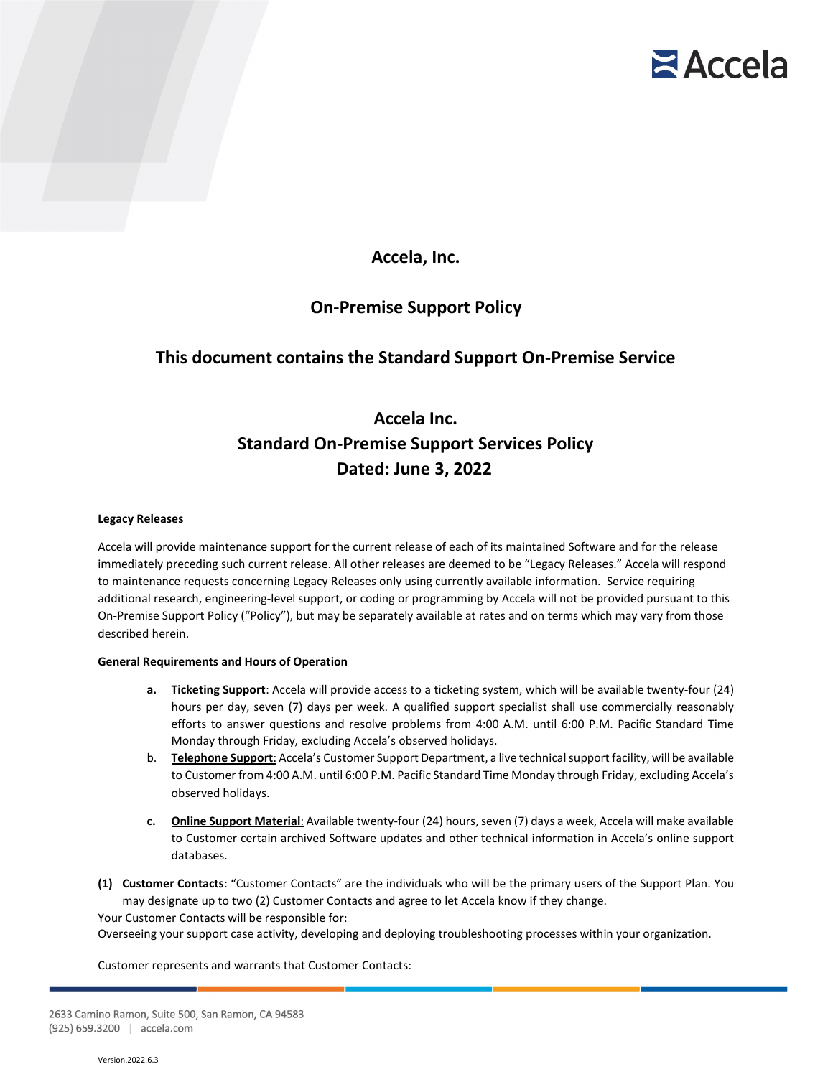

# Accela, Inc.

## On-Premise Support Policy

## This document contains the Standard Support On-Premise Service

# Accela Inc. Standard On-Premise Support Services Policy Dated: June 3, 2022

## Legacy Releases

Accela will provide maintenance support for the current release of each of its maintained Software and for the release immediately preceding such current release. All other releases are deemed to be "Legacy Releases." Accela will respond to maintenance requests concerning Legacy Releases only using currently available information. Service requiring additional research, engineering-level support, or coding or programming by Accela will not be provided pursuant to this On-Premise Support Policy ("Policy"), but may be separately available at rates and on terms which may vary from those described herein.

#### General Requirements and Hours of Operation

- a. Ticketing Support: Accela will provide access to a ticketing system, which will be available twenty-four (24) hours per day, seven (7) days per week. A qualified support specialist shall use commercially reasonably efforts to answer questions and resolve problems from 4:00 A.M. until 6:00 P.M. Pacific Standard Time Monday through Friday, excluding Accela's observed holidays.
- b. Telephone Support: Accela's Customer Support Department, a live technical support facility, will be available to Customer from 4:00 A.M. until 6:00 P.M. Pacific Standard Time Monday through Friday, excluding Accela's observed holidays.
- c. Online Support Material: Available twenty-four (24) hours, seven (7) days a week, Accela will make available to Customer certain archived Software updates and other technical information in Accela's online support databases.
- (1) Customer Contacts: "Customer Contacts" are the individuals who will be the primary users of the Support Plan. You may designate up to two (2) Customer Contacts and agree to let Accela know if they change.

Your Customer Contacts will be responsible for:

Overseeing your support case activity, developing and deploying troubleshooting processes within your organization.

Customer represents and warrants that Customer Contacts: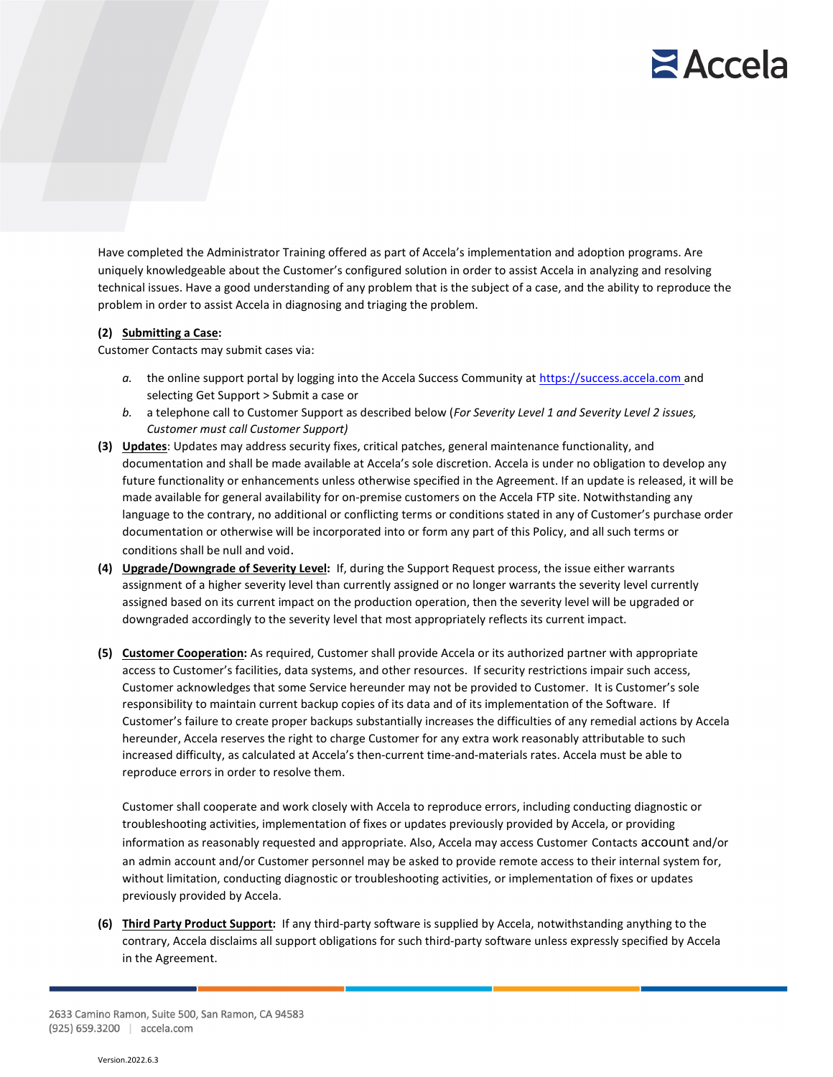

Have completed the Administrator Training offered as part of Accela's implementation and adoption programs. Are uniquely knowledgeable about the Customer's configured solution in order to assist Accela in analyzing and resolving technical issues. Have a good understanding of any problem that is the subject of a case, and the ability to reproduce the problem in order to assist Accela in diagnosing and triaging the problem.

## (2) Submitting a Case:

Customer Contacts may submit cases via:

- a. the online support portal by logging into the Accela Success Community at https://success.accela.com and selecting Get Support > Submit a case or
- b. a telephone call to Customer Support as described below (For Severity Level 1 and Severity Level 2 issues, Customer must call Customer Support)
- (3) Updates: Updates may address security fixes, critical patches, general maintenance functionality, and documentation and shall be made available at Accela's sole discretion. Accela is under no obligation to develop any future functionality or enhancements unless otherwise specified in the Agreement. If an update is released, it will be made available for general availability for on-premise customers on the Accela FTP site. Notwithstanding any language to the contrary, no additional or conflicting terms or conditions stated in any of Customer's purchase order documentation or otherwise will be incorporated into or form any part of this Policy, and all such terms or conditions shall be null and void.
- (4) Upgrade/Downgrade of Severity Level: If, during the Support Request process, the issue either warrants assignment of a higher severity level than currently assigned or no longer warrants the severity level currently assigned based on its current impact on the production operation, then the severity level will be upgraded or downgraded accordingly to the severity level that most appropriately reflects its current impact.
- (5) Customer Cooperation: As required, Customer shall provide Accela or its authorized partner with appropriate access to Customer's facilities, data systems, and other resources. If security restrictions impair such access, Customer acknowledges that some Service hereunder may not be provided to Customer. It is Customer's sole responsibility to maintain current backup copies of its data and of its implementation of the Software. If Customer's failure to create proper backups substantially increases the difficulties of any remedial actions by Accela hereunder, Accela reserves the right to charge Customer for any extra work reasonably attributable to such increased difficulty, as calculated at Accela's then-current time-and-materials rates. Accela must be able to reproduce errors in order to resolve them.

Customer shall cooperate and work closely with Accela to reproduce errors, including conducting diagnostic or troubleshooting activities, implementation of fixes or updates previously provided by Accela, or providing information as reasonably requested and appropriate. Also, Accela may access Customer Contacts account and/or an admin account and/or Customer personnel may be asked to provide remote access to their internal system for, without limitation, conducting diagnostic or troubleshooting activities, or implementation of fixes or updates previously provided by Accela.

(6) Third Party Product Support: If any third-party software is supplied by Accela, notwithstanding anything to the contrary, Accela disclaims all support obligations for such third-party software unless expressly specified by Accela in the Agreement.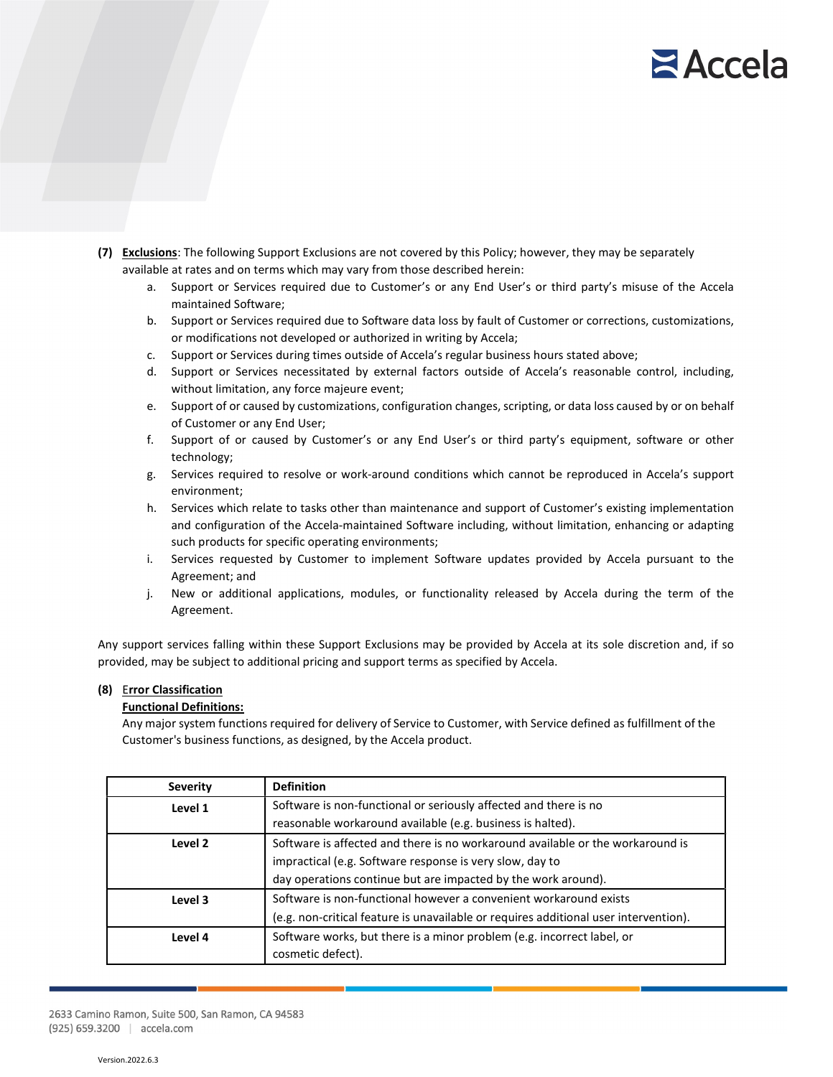

- (7) Exclusions: The following Support Exclusions are not covered by this Policy; however, they may be separately available at rates and on terms which may vary from those described herein:
	- a. Support or Services required due to Customer's or any End User's or third party's misuse of the Accela maintained Software;
	- b. Support or Services required due to Software data loss by fault of Customer or corrections, customizations, or modifications not developed or authorized in writing by Accela;
	- c. Support or Services during times outside of Accela's regular business hours stated above;
	- d. Support or Services necessitated by external factors outside of Accela's reasonable control, including, without limitation, any force majeure event;
	- e. Support of or caused by customizations, configuration changes, scripting, or data loss caused by or on behalf of Customer or any End User;
	- f. Support of or caused by Customer's or any End User's or third party's equipment, software or other technology;
	- g. Services required to resolve or work-around conditions which cannot be reproduced in Accela's support environment;
	- h. Services which relate to tasks other than maintenance and support of Customer's existing implementation and configuration of the Accela-maintained Software including, without limitation, enhancing or adapting such products for specific operating environments;
	- i. Services requested by Customer to implement Software updates provided by Accela pursuant to the Agreement; and
	- j. New or additional applications, modules, or functionality released by Accela during the term of the Agreement.

Any support services falling within these Support Exclusions may be provided by Accela at its sole discretion and, if so provided, may be subject to additional pricing and support terms as specified by Accela.

#### (8) Error Classification

#### Functional Definitions:

Any major system functions required for delivery of Service to Customer, with Service defined as fulfillment of the Customer's business functions, as designed, by the Accela product.

| <b>Severity</b>    | <b>Definition</b>                                                                    |  |
|--------------------|--------------------------------------------------------------------------------------|--|
| Level 1            | Software is non-functional or seriously affected and there is no                     |  |
|                    | reasonable workaround available (e.g. business is halted).                           |  |
| Level <sub>2</sub> | Software is affected and there is no workaround available or the workaround is       |  |
|                    | impractical (e.g. Software response is very slow, day to                             |  |
|                    | day operations continue but are impacted by the work around).                        |  |
| Level 3            | Software is non-functional however a convenient workaround exists                    |  |
|                    | (e.g. non-critical feature is unavailable or requires additional user intervention). |  |
| Level 4            | Software works, but there is a minor problem (e.g. incorrect label, or               |  |
|                    | cosmetic defect).                                                                    |  |